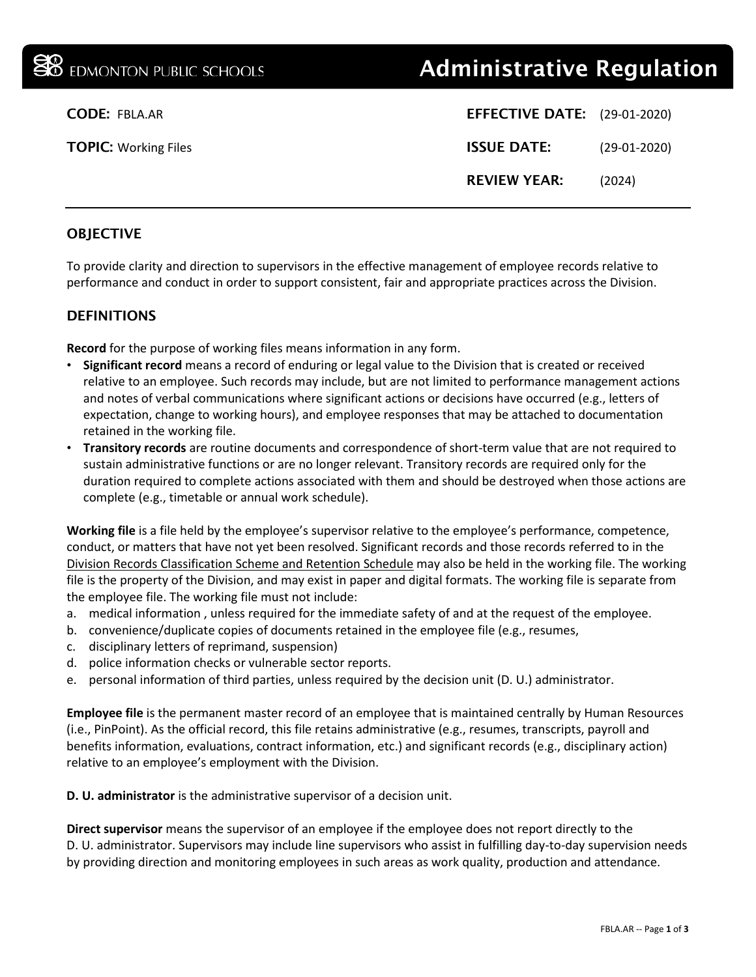# **<sup>38</sup> EDMONTON PUBLIC SCHOOLS Administrative Regulation**

| <b>CODE: FBLA.AR</b>        | <b>EFFECTIVE DATE:</b> (29-01-2020) |                |
|-----------------------------|-------------------------------------|----------------|
| <b>TOPIC: Working Files</b> | <b>ISSUE DATE:</b>                  | $(29-01-2020)$ |
|                             | <b>REVIEW YEAR:</b>                 | (2024)         |

# **OBJECTIVE**

To provide clarity and direction to supervisors in the effective management of employee records relative to performance and conduct in order to support consistent, fair and appropriate practices across the Division.

# DEFINITIONS

**Record** for the purpose of working files means information in any form.

- **Significant record** means a record of enduring or legal value to the Division that is created or received relative to an employee. Such records may include, but are not limited to performance management actions and notes of verbal communications where significant actions or decisions have occurred (e.g., letters of expectation, change to working hours), and employee responses that may be attached to documentation retained in the working file.
- **Transitory records** are routine documents and correspondence of short-term value that are not required to sustain administrative functions or are no longer relevant. Transitory records are required only for the duration required to complete actions associated with them and should be destroyed when those actions are complete (e.g., timetable or annual work schedule).

**Working file** is a file held by the employee's supervisor relative to the employee's performance, competence, conduct, or matters that have not yet been resolved. Significant records and those records referred to in the [Division Records Classification Scheme and Retention Schedule](https://drive.google.com/file/d/0By-cgsS0qQUMcmpocTV4Wm5hY2c/view?ts=5909ecb8) may also be held in the working file. The working file is the property of the Division, and may exist in paper and digital formats. The working file is separate from the employee file. The working file must not include:

- a. medical information , unless required for the immediate safety of and at the request of the employee.
- b. convenience/duplicate copies of documents retained in the employee file (e.g., resumes,
- c. disciplinary letters of reprimand, suspension)
- d. police information checks or vulnerable sector reports.
- e. personal information of third parties, unless required by the decision unit (D. U.) administrator.

**Employee file** is the permanent master record of an employee that is maintained centrally by Human Resources (i.e., PinPoint). As the official record, this file retains administrative (e.g., resumes, transcripts, payroll and benefits information, evaluations, contract information, etc.) and significant records (e.g., disciplinary action) relative to an employee's employment with the Division.

**D. U. administrator** is the administrative supervisor of a decision unit.

**Direct supervisor** means the supervisor of an employee if the employee does not report directly to the D. U. administrator. Supervisors may include line supervisors who assist in fulfilling day-to-day supervision needs by providing direction and monitoring employees in such areas as work quality, production and attendance.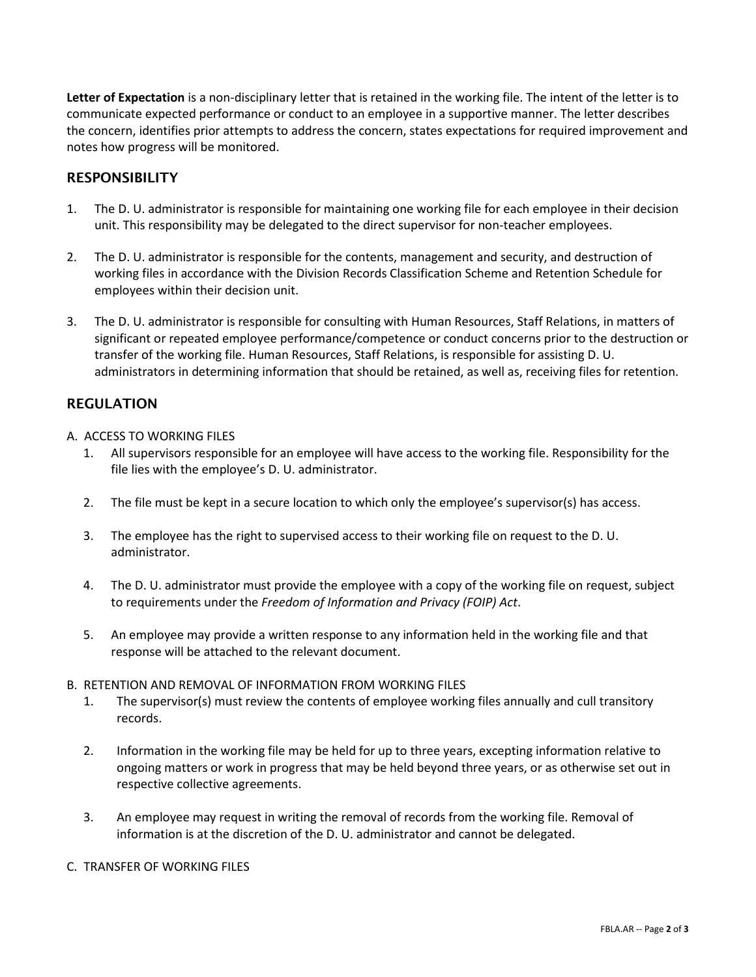**Letter of Expectation** is a non-disciplinary letter that is retained in the working file. The intent of the letter is to communicate expected performance or conduct to an employee in a supportive manner. The letter describes the concern, identifies prior attempts to address the concern, states expectations for required improvement and notes how progress will be monitored.

## **RESPONSIBILITY**

- 1. The D. U. administrator is responsible for maintaining one working file for each employee in their decision unit. This responsibility may be delegated to the direct supervisor for non-teacher employees.
- 2. The D. U. administrator is responsible for the contents, management and security, and destruction of working files in accordance with the Division Records Classification Scheme and Retention Schedule for employees within their decision unit.
- 3. The D. U. administrator is responsible for consulting with Human Resources, Staff Relations, in matters of significant or repeated employee performance/competence or conduct concerns prior to the destruction or transfer of the working file. Human Resources, Staff Relations, is responsible for assisting D. U. administrators in determining information that should be retained, as well as, receiving files for retention.

### REGULATION

- A. ACCESS TO WORKING FILES
	- 1. All supervisors responsible for an employee will have access to the working file. Responsibility for the file lies with the employee's D. U. administrator.
	- 2. The file must be kept in a secure location to which only the employee's supervisor(s) has access.
	- 3. The employee has the right to supervised access to their working file on request to the D. U. administrator.
	- 4. The D. U. administrator must provide the employee with a copy of the working file on request, subject to requirements under the *Freedom of Information and Privacy (FOIP) Act*.
	- 5. An employee may provide a written response to any information held in the working file and that response will be attached to the relevant document.

#### B. RETENTION AND REMOVAL OF INFORMATION FROM WORKING FILES

- 1. The supervisor(s) must review the contents of employee working files annually and cull transitory records.
- 2. Information in the working file may be held for up to three years, excepting information relative to ongoing matters or work in progress that may be held beyond three years, or as otherwise set out in respective collective agreements.
- 3. An employee may request in writing the removal of records from the working file. Removal of information is at the discretion of the D. U. administrator and cannot be delegated.

#### C. TRANSFER OF WORKING FILES